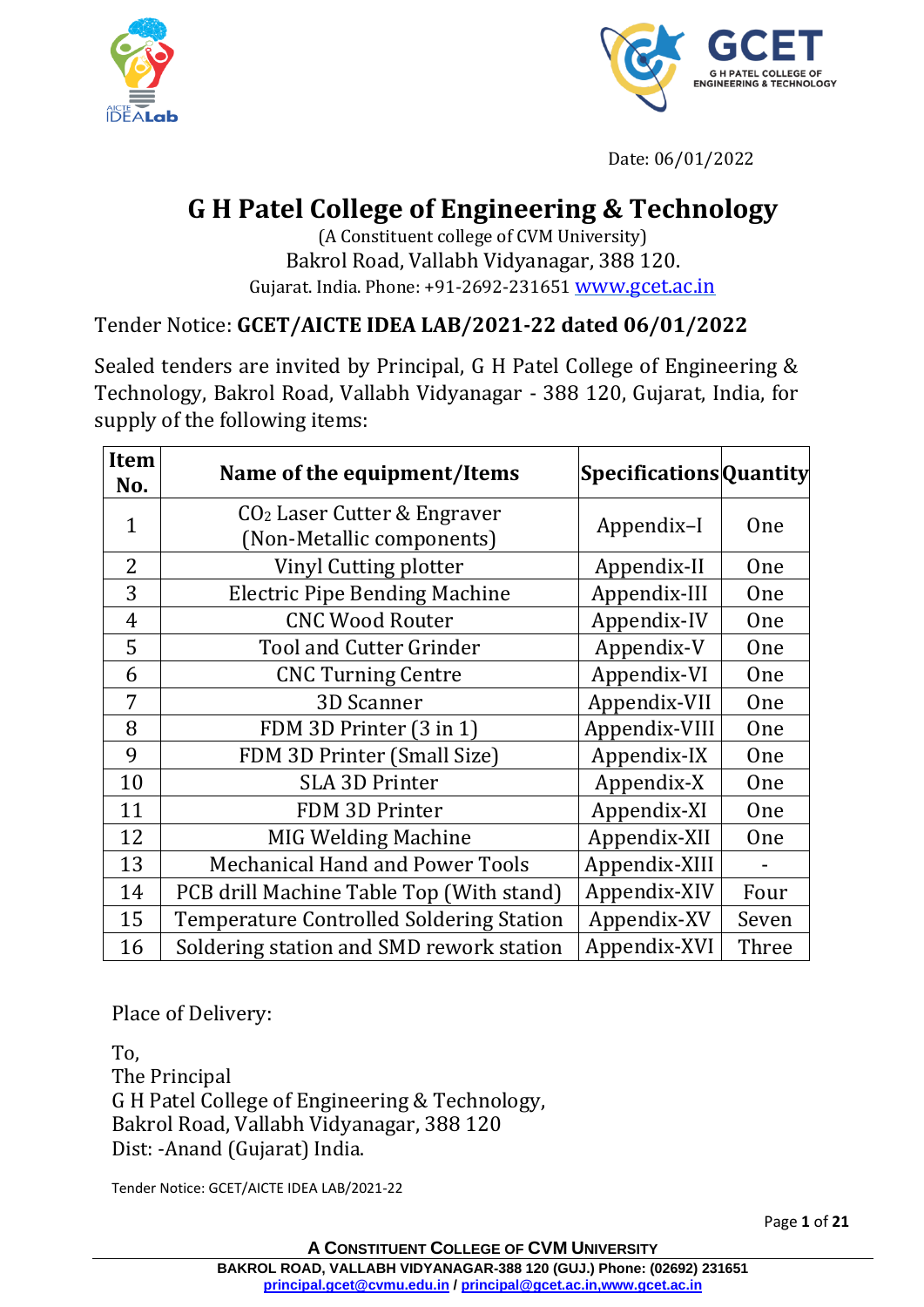



Date: 06/01/2022

## **G H Patel College of Engineering & Technology**

(A Constituent college of CVM University) Bakrol Road, Vallabh Vidyanagar, 388 120. Gujarat. India. Phone: +91-2692-231651 [www.gcet.ac.in](http://www.gcet.ac.in/)

Tender Notice: **GCET/AICTE IDEA LAB/2021-22 dated 06/01/2022**

Sealed tenders are invited by Principal, G H Patel College of Engineering & Technology, Bakrol Road, Vallabh Vidyanagar - 388 120, Gujarat, India, for supply of the following items:

| <b>Item</b><br>No. | Name of the equipment/Items                                | <b>SpecificationsQuantity</b> |            |
|--------------------|------------------------------------------------------------|-------------------------------|------------|
| $\mathbf{1}$       | $CO2$ Laser Cutter & Engraver<br>(Non-Metallic components) | Appendix-I                    | One        |
| 2                  | Vinyl Cutting plotter                                      | Appendix-II                   | <b>One</b> |
| 3                  | <b>Electric Pipe Bending Machine</b>                       | Appendix-III                  | <b>One</b> |
| $\overline{4}$     | <b>CNC Wood Router</b>                                     | Appendix-IV                   | <b>One</b> |
| 5                  | <b>Tool and Cutter Grinder</b>                             | Appendix-V                    | One        |
| 6                  | <b>CNC Turning Centre</b>                                  | Appendix-VI                   | <b>One</b> |
| 7                  | 3D Scanner                                                 | Appendix-VII                  | One        |
| 8                  | FDM 3D Printer (3 in 1)                                    | Appendix-VIII                 | One        |
| 9                  | FDM 3D Printer (Small Size)                                | Appendix-IX                   | One        |
| 10                 | <b>SLA 3D Printer</b>                                      | Appendix-X                    | One        |
| 11                 | FDM 3D Printer                                             | Appendix-XI                   | <b>One</b> |
| 12                 | <b>MIG Welding Machine</b>                                 | Appendix-XII                  | <b>One</b> |
| 13                 | <b>Mechanical Hand and Power Tools</b>                     | Appendix-XIII                 |            |
| 14                 | PCB drill Machine Table Top (With stand)                   | Appendix-XIV                  | Four       |
| 15                 | Temperature Controlled Soldering Station                   | Appendix-XV                   | Seven      |
| 16                 | Soldering station and SMD rework station                   | Appendix-XVI                  | Three      |

Place of Delivery:

To,

The Principal G H Patel College of Engineering & Technology, Bakrol Road, Vallabh Vidyanagar, 388 120 Dist: -Anand (Gujarat) India.

Tender Notice: GCET/AICTE IDEA LAB/2021-22

Page **1** of **21**

**A CONSTITUENT COLLEGE OF CVM UNIVERSITY**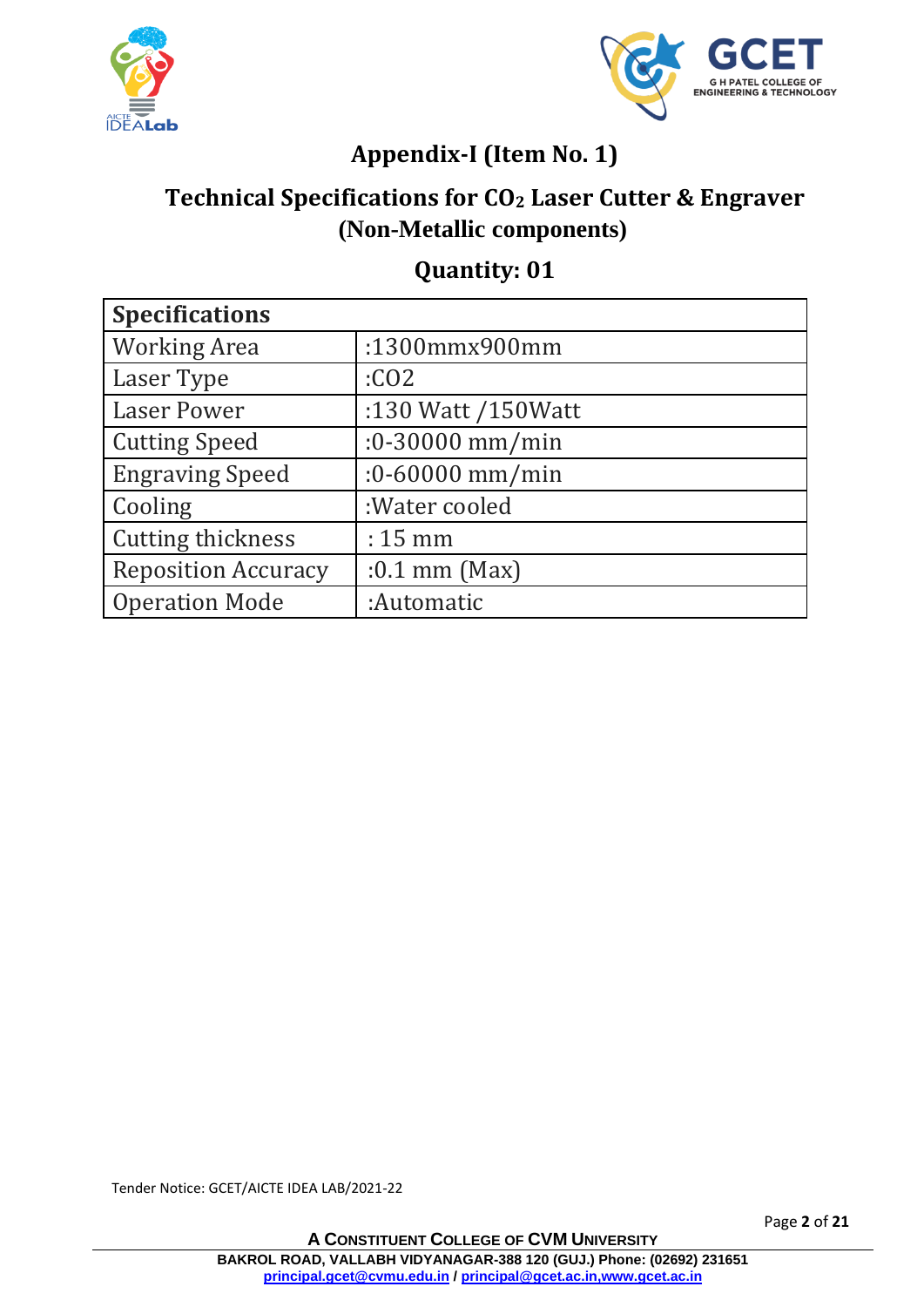



## **Appendix-I (Item No. 1)**

## **Technical Specifications for CO<sup>2</sup> Laser Cutter & Engraver (Non-Metallic components)**

#### **Quantity: 01**

| <b>Specifications</b>      |                     |  |
|----------------------------|---------------------|--|
| <b>Working Area</b>        | :1300mmx900mm       |  |
| Laser Type                 | :CO <sub>2</sub>    |  |
| <b>Laser Power</b>         | :130 Watt /150Watt  |  |
| <b>Cutting Speed</b>       | $:0 - 30000$ mm/min |  |
| <b>Engraving Speed</b>     | $:0 - 60000$ mm/min |  |
| Cooling                    | :Water cooled       |  |
| <b>Cutting thickness</b>   | $: 15 \text{ mm}$   |  |
| <b>Reposition Accuracy</b> | $:0.1$ mm (Max)     |  |
| <b>Operation Mode</b>      | :Automatic          |  |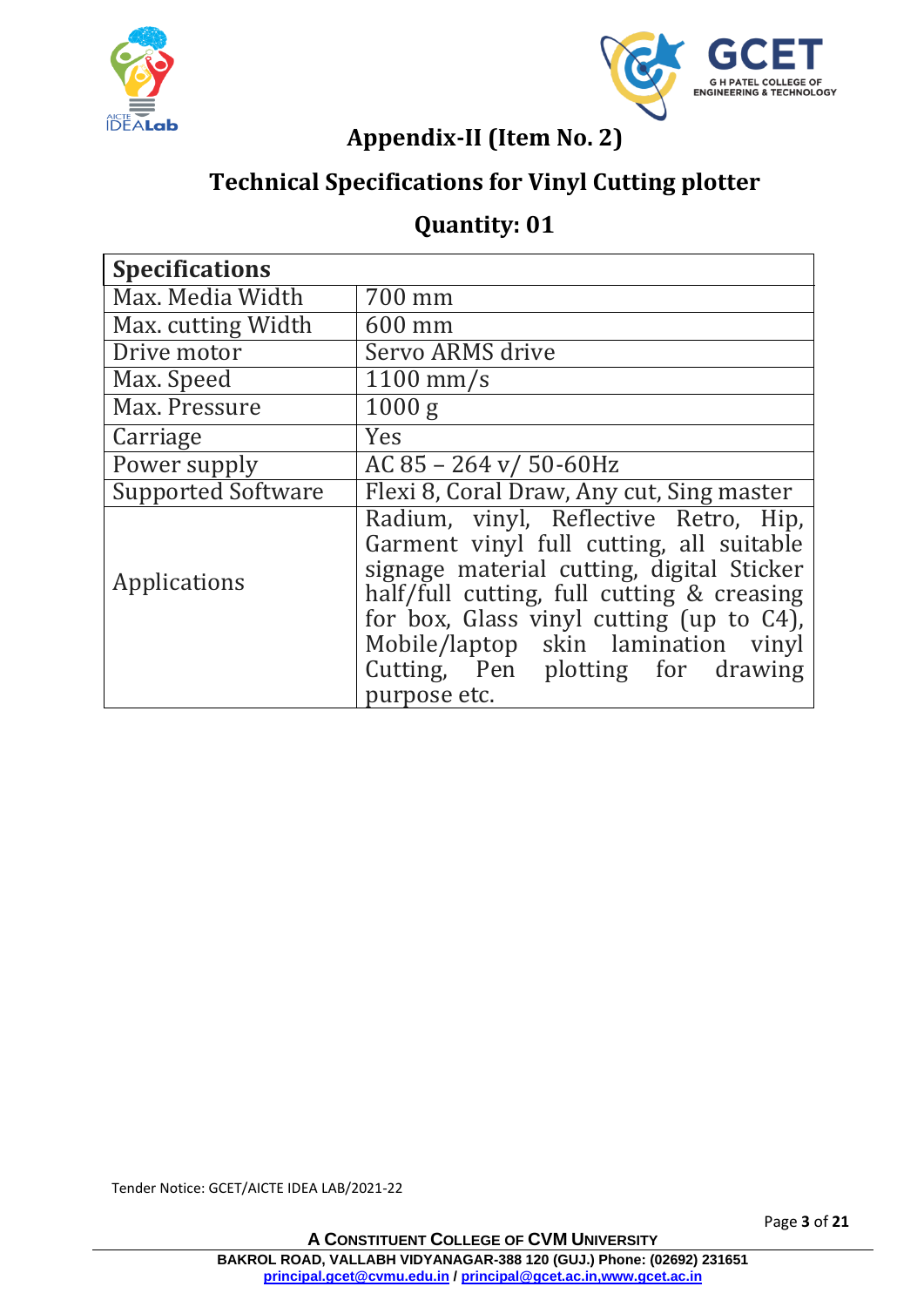



### **Appendix-II (Item No. 2)**

## **Technical Specifications for Vinyl Cutting plotter**

#### **Quantity: 01**

| <b>Specifications</b>     |                                                                                                                                                                                                                                                                 |
|---------------------------|-----------------------------------------------------------------------------------------------------------------------------------------------------------------------------------------------------------------------------------------------------------------|
| Max. Media Width          | 700 mm                                                                                                                                                                                                                                                          |
| Max. cutting Width        | 600 mm                                                                                                                                                                                                                                                          |
| Drive motor               | Servo ARMS drive                                                                                                                                                                                                                                                |
| Max. Speed                | $1100$ mm/s                                                                                                                                                                                                                                                     |
| Max. Pressure             | 1000 g                                                                                                                                                                                                                                                          |
| Carriage                  | Yes                                                                                                                                                                                                                                                             |
| Power supply              | AC 85 - 264 v/ 50-60Hz                                                                                                                                                                                                                                          |
| <b>Supported Software</b> | Flexi 8, Coral Draw, Any cut, Sing master                                                                                                                                                                                                                       |
| Applications              | Radium, vinyl, Reflective Retro, Hip,<br>Garment vinyl full cutting, all suitable<br>signage material cutting, digital Sticker<br>half/full cutting, full cutting & creasing<br>for box, Glass vinyl cutting (up to C4),<br>Mobile/laptop skin lamination vinyl |
|                           | Cutting, Pen plotting for drawing<br>purpose etc.                                                                                                                                                                                                               |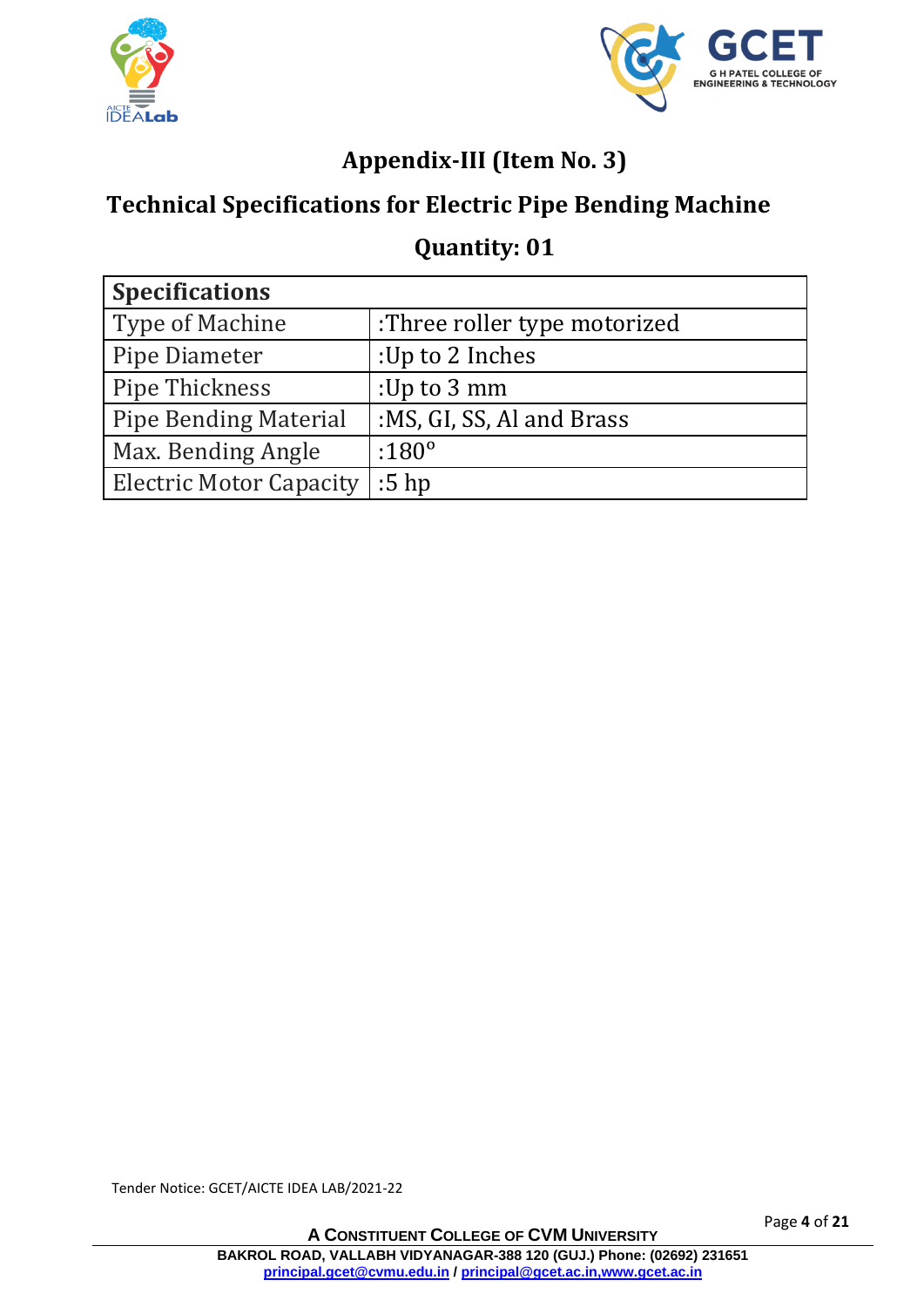



## **Appendix-III (Item No. 3)**

## **Technical Specifications for Electric Pipe Bending Machine**

#### **Quantity: 01**

| <b>Specifications</b>          |                              |  |
|--------------------------------|------------------------------|--|
| Type of Machine                | :Three roller type motorized |  |
| Pipe Diameter                  | :Up to 2 Inches              |  |
| Pipe Thickness                 | :Up to $3 \text{ mm}$        |  |
| <b>Pipe Bending Material</b>   | :MS, GI, SS, Al and Brass    |  |
| Max. Bending Angle             | $:180^{\circ}$               |  |
| <b>Electric Motor Capacity</b> | $:5$ hp                      |  |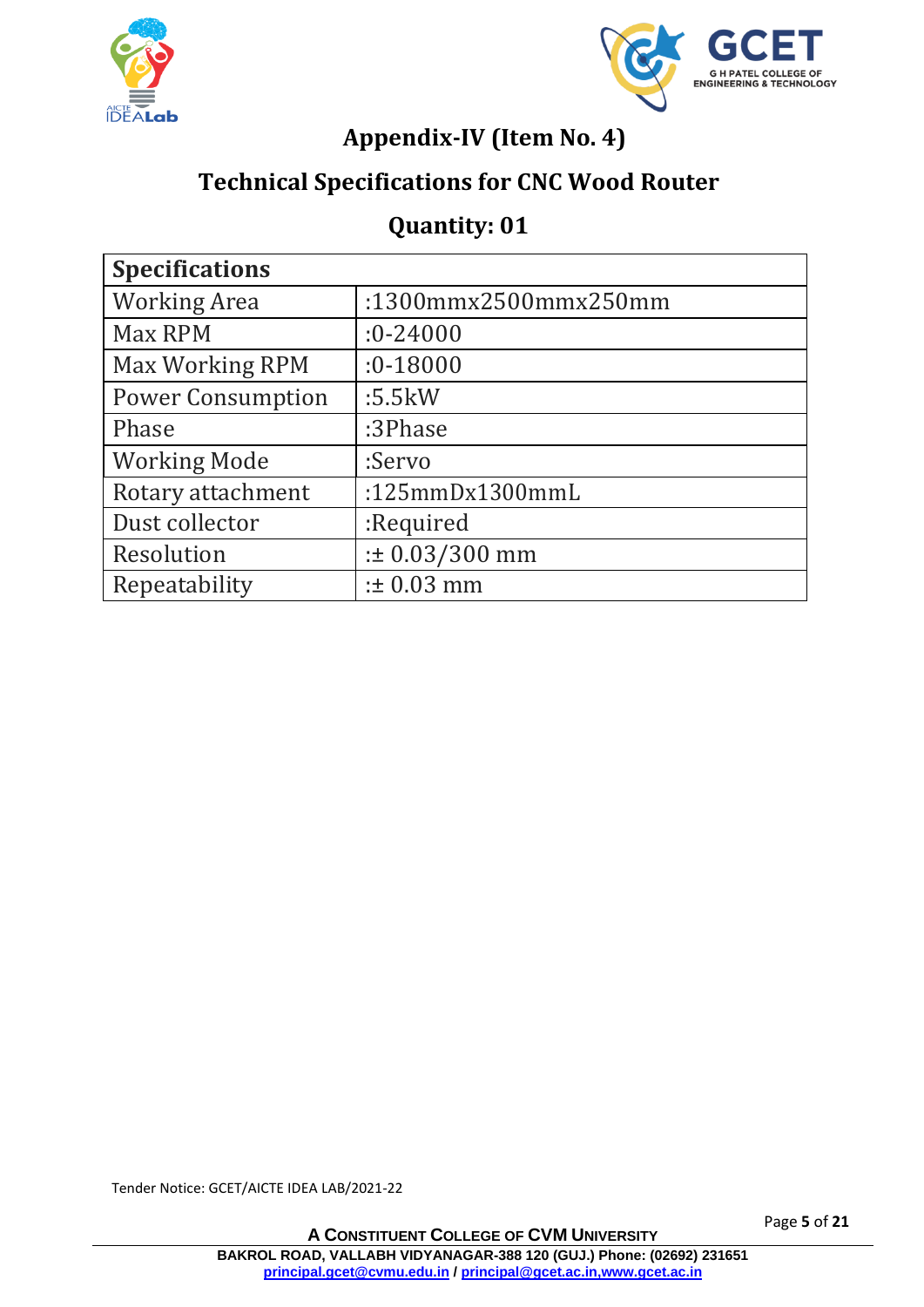



## **Appendix-IV (Item No. 4)**

#### **Technical Specifications for CNC Wood Router**

#### **Quantity: 01**

| <b>Specifications</b>    |                      |  |
|--------------------------|----------------------|--|
| <b>Working Area</b>      | :1300mmx2500mmx250mm |  |
| Max RPM                  | $:0 - 24000$         |  |
| Max Working RPM          | $:0 - 18000$         |  |
| <b>Power Consumption</b> | :5.5kW               |  |
| Phase                    | :3Phase              |  |
| <b>Working Mode</b>      | :Servo               |  |
| Rotary attachment        | :125 $mmDx1300mmL$   |  |
| Dust collector           | :Required            |  |
| Resolution               | $: 0.03/300$ mm      |  |
| Repeatability            | $: 10.03$ mm         |  |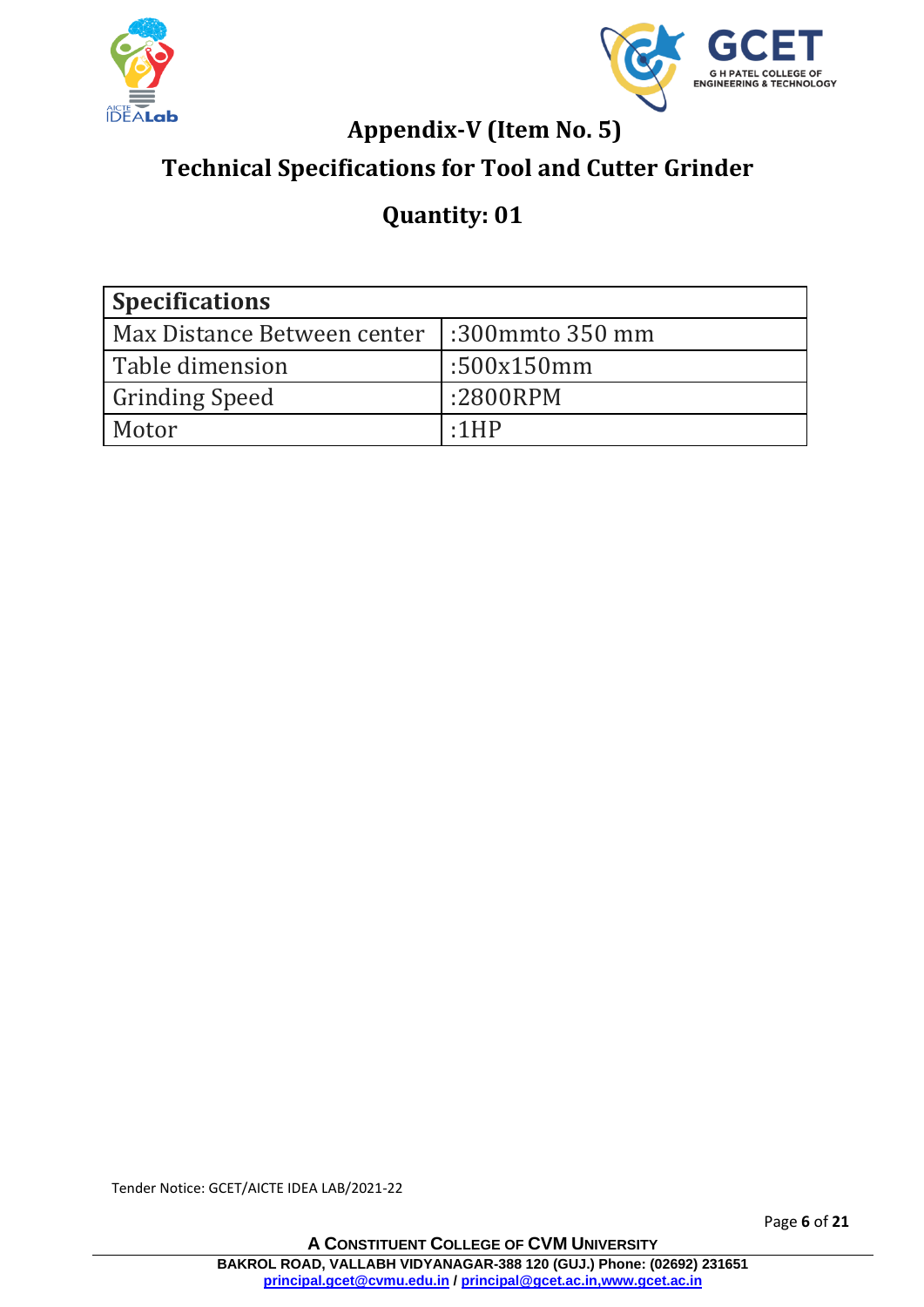



## **Appendix-V (Item No. 5)**

## **Technical Specifications for Tool and Cutter Grinder**

## **Quantity: 01**

| <b>Specifications</b>       |                 |  |
|-----------------------------|-----------------|--|
| Max Distance Between center | :300mmto 350 mm |  |
| Table dimension             | :500x150mm      |  |
| <b>Grinding Speed</b>       | :2800RPM        |  |
| Motor                       | $\cdot$ 1HP     |  |

Tender Notice: GCET/AICTE IDEA LAB/2021-22

Page **6** of **21**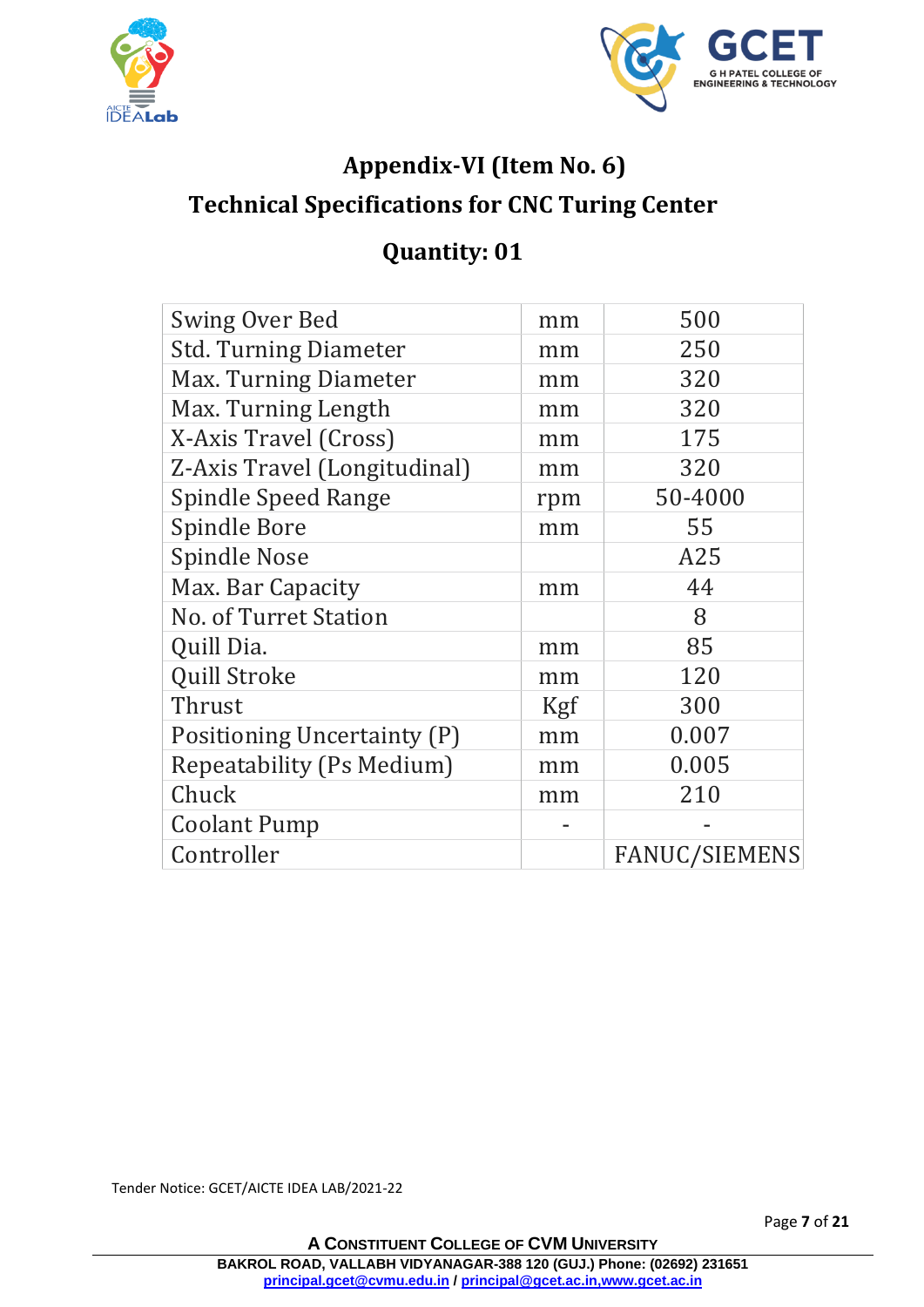



## **Appendix-VI (Item No. 6) Technical Specifications for CNC Turing Center**

## **Quantity: 01**

| <b>Swing Over Bed</b>            | mm  | 500                  |
|----------------------------------|-----|----------------------|
| <b>Std. Turning Diameter</b>     | mm  | 250                  |
| Max. Turning Diameter            | mm  | 320                  |
| Max. Turning Length              | mm  | 320                  |
| X-Axis Travel (Cross)            | mm  | 175                  |
| Z-Axis Travel (Longitudinal)     | mm  | 320                  |
| <b>Spindle Speed Range</b>       | rpm | 50-4000              |
| <b>Spindle Bore</b>              | mm  | 55                   |
| <b>Spindle Nose</b>              |     | A25                  |
| Max. Bar Capacity                | mm  | 44                   |
| No. of Turret Station            |     | 8                    |
| Quill Dia.                       | mm  | 85                   |
| <b>Quill Stroke</b>              | mm  | 120                  |
| Thrust                           | Kgf | 300                  |
| Positioning Uncertainty (P)      | mm  | 0.007                |
| <b>Repeatability (Ps Medium)</b> | mm  | 0.005                |
| Chuck                            | mm  | 210                  |
| <b>Coolant Pump</b>              |     |                      |
| Controller                       |     | <b>FANUC/SIEMENS</b> |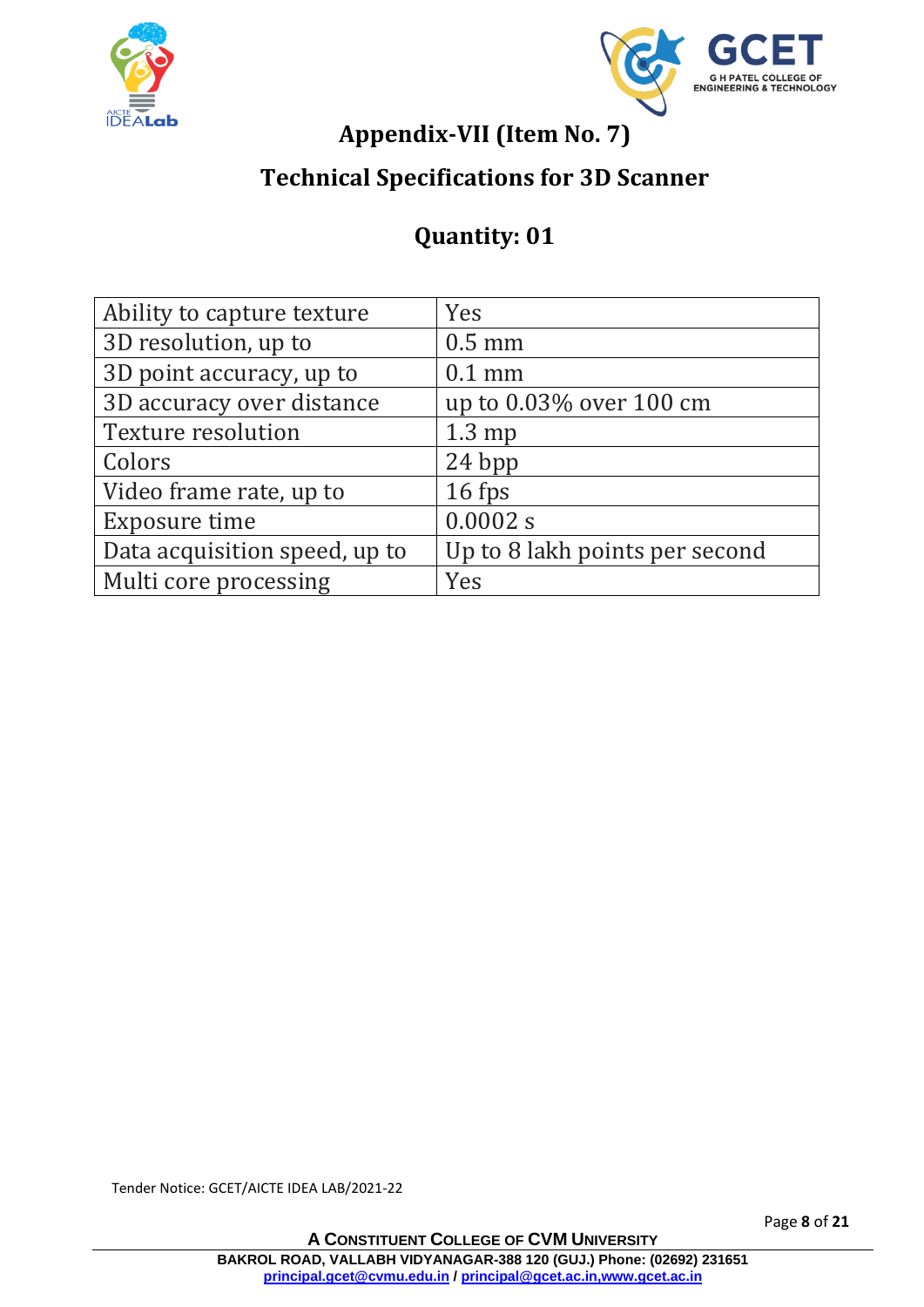



## **Appendix-VII (Item No. 7)**

## **Technical Specifications for 3D Scanner**

## **Quantity: 01**

| Ability to capture texture    | Yes                            |
|-------------------------------|--------------------------------|
| 3D resolution, up to          | $0.5$ mm                       |
| 3D point accuracy, up to      | $0.1$ mm                       |
| 3D accuracy over distance     | up to 0.03% over 100 cm        |
| <b>Texture resolution</b>     | $1.3 \text{ mp}$               |
| Colors                        | 24 bpp                         |
| Video frame rate, up to       | 16 fps                         |
| Exposure time                 | 0.0002 s                       |
| Data acquisition speed, up to | Up to 8 lakh points per second |
| Multi core processing         | Yes                            |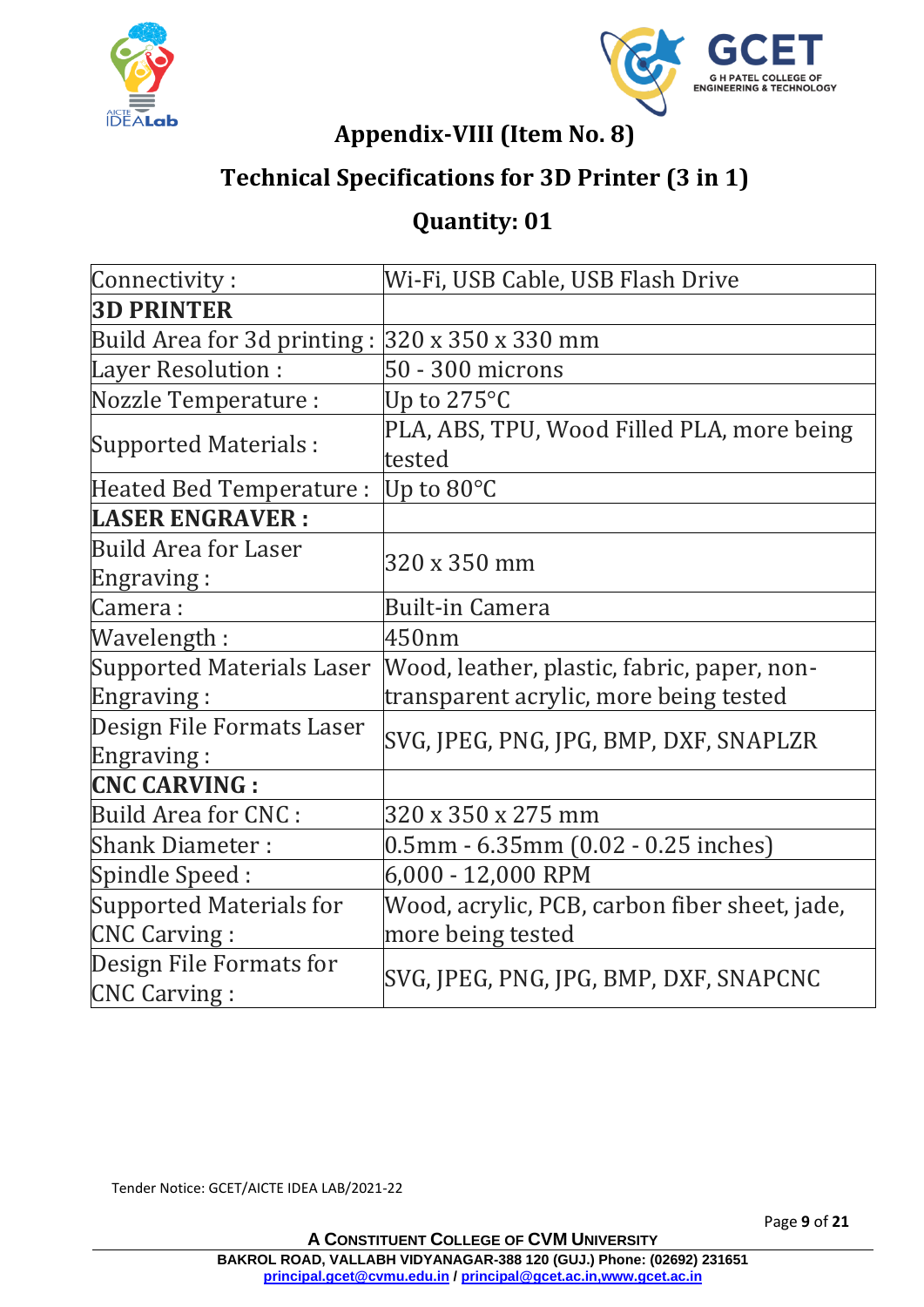



#### **Appendix-VIII (Item No. 8)**

## **Technical Specifications for 3D Printer (3 in 1)**

## **Quantity: 01**

| Connectivity:                                               | Wi-Fi, USB Cable, USB Flash Drive                    |
|-------------------------------------------------------------|------------------------------------------------------|
| <b>3D PRINTER</b>                                           |                                                      |
| Build Area for 3d printing : $320 \times 350 \times 330$ mm |                                                      |
| <b>Layer Resolution:</b>                                    | 50 - 300 microns                                     |
| Nozzle Temperature :                                        | Up to $275^{\circ}$ C                                |
| <b>Supported Materials:</b>                                 | PLA, ABS, TPU, Wood Filled PLA, more being<br>tested |
| Heated Bed Temperature :                                    | Up to $80^{\circ}$ C                                 |
| <b>LASER ENGRAVER:</b>                                      |                                                      |
| Build Area for Laser                                        | 320 x 350 mm                                         |
| Engraving:                                                  |                                                      |
| Camera :                                                    | <b>Built-in Camera</b>                               |
| Wavelength:                                                 | 450nm                                                |
| Supported Materials Laser                                   | Wood, leather, plastic, fabric, paper, non-          |
| Engraving:                                                  | transparent acrylic, more being tested               |
| Design File Formats Laser<br>Engraving:                     | SVG, JPEG, PNG, JPG, BMP, DXF, SNAPLZR               |
| <b>CNC CARVING:</b>                                         |                                                      |
| <b>Build Area for CNC:</b>                                  | 320 x 350 x 275 mm                                   |
| <b>Shank Diameter:</b>                                      | 0.5mm - 6.35mm (0.02 - 0.25 inches)                  |
| Spindle Speed:                                              | 6,000 - 12,000 RPM                                   |
| Supported Materials for                                     | Wood, acrylic, PCB, carbon fiber sheet, jade,        |
| <b>CNC Carving:</b>                                         | more being tested                                    |
| Design File Formats for<br><b>CNC Carving:</b>              | SVG, JPEG, PNG, JPG, BMP, DXF, SNAPCNC               |

Tender Notice: GCET/AICTE IDEA LAB/2021-22

Page **9** of **21**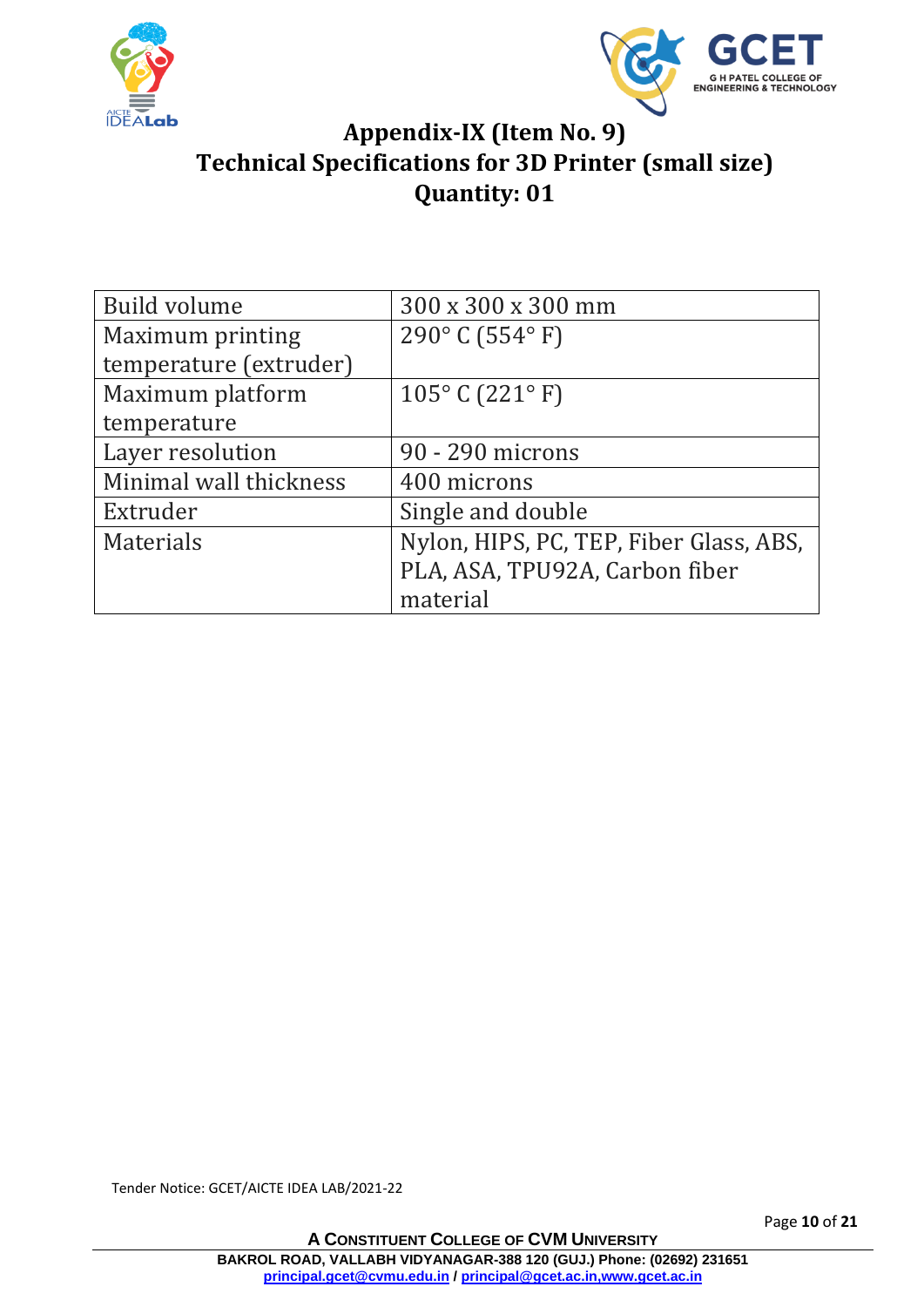



#### **Appendix-IX (Item No. 9) Technical Specifications for 3D Printer (small size) Quantity: 01**

| <b>Build volume</b>    | 300 x 300 x 300 mm                      |
|------------------------|-----------------------------------------|
| Maximum printing       | $290^{\circ}$ C (554 $^{\circ}$ F)      |
| temperature (extruder) |                                         |
| Maximum platform       | $105^{\circ}$ C (221 $^{\circ}$ F)      |
| temperature            |                                         |
| Layer resolution       | 90 - 290 microns                        |
| Minimal wall thickness | 400 microns                             |
| Extruder               | Single and double                       |
| <b>Materials</b>       | Nylon, HIPS, PC, TEP, Fiber Glass, ABS, |
|                        | PLA, ASA, TPU92A, Carbon fiber          |
|                        | material                                |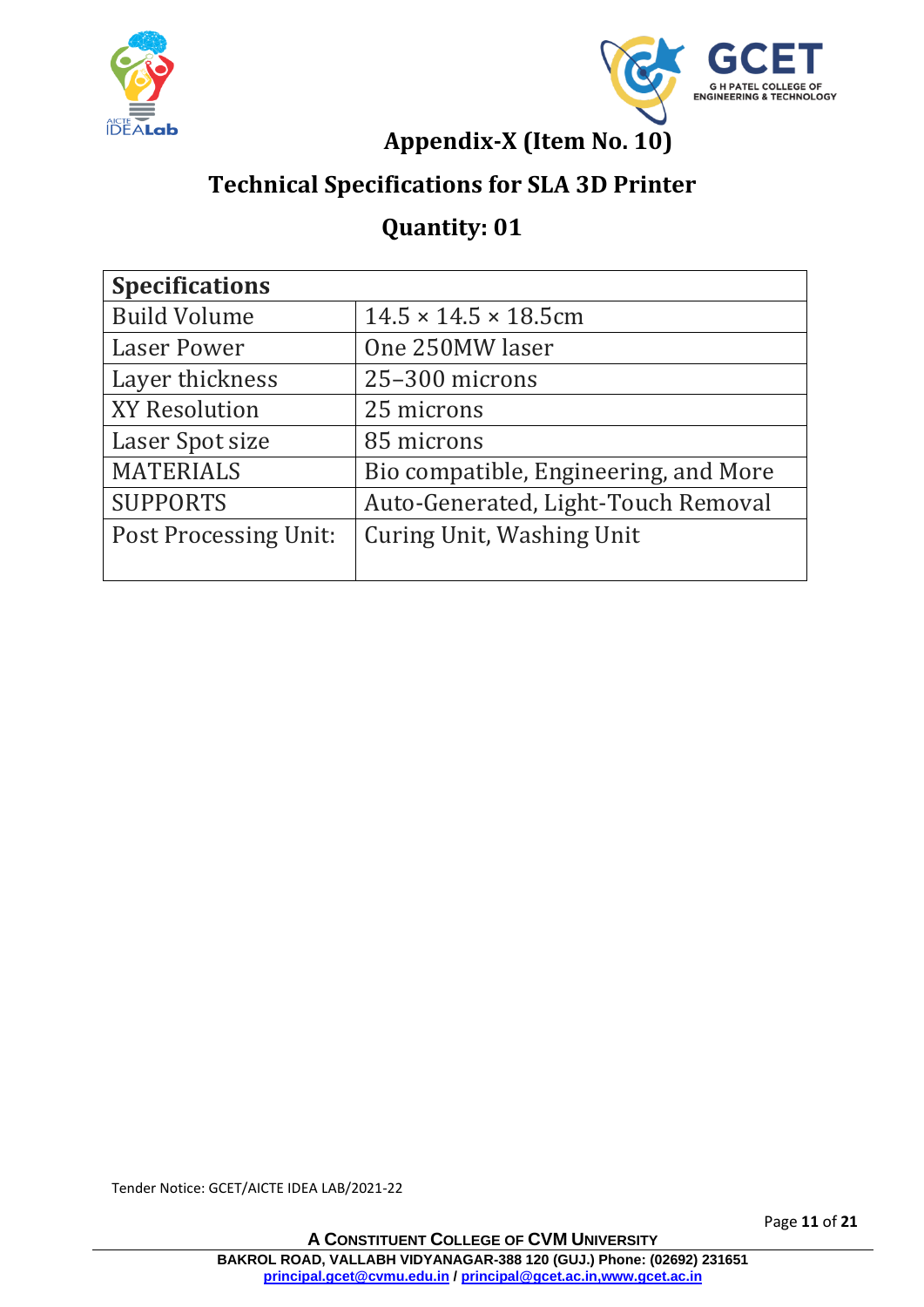



**Appendix-X (Item No. 10)**

## **Technical Specifications for SLA 3D Printer**

#### **Quantity: 01**

| <b>Specifications</b>        |                                       |  |
|------------------------------|---------------------------------------|--|
| <b>Build Volume</b>          | $14.5 \times 14.5 \times 18.5$ cm     |  |
| <b>Laser Power</b>           | One 250MW laser                       |  |
| Layer thickness              | 25-300 microns                        |  |
| <b>XY Resolution</b>         | 25 microns                            |  |
| Laser Spot size              | 85 microns                            |  |
| <b>MATERIALS</b>             | Bio compatible, Engineering, and More |  |
| <b>SUPPORTS</b>              | Auto-Generated, Light-Touch Removal   |  |
| <b>Post Processing Unit:</b> | Curing Unit, Washing Unit             |  |
|                              |                                       |  |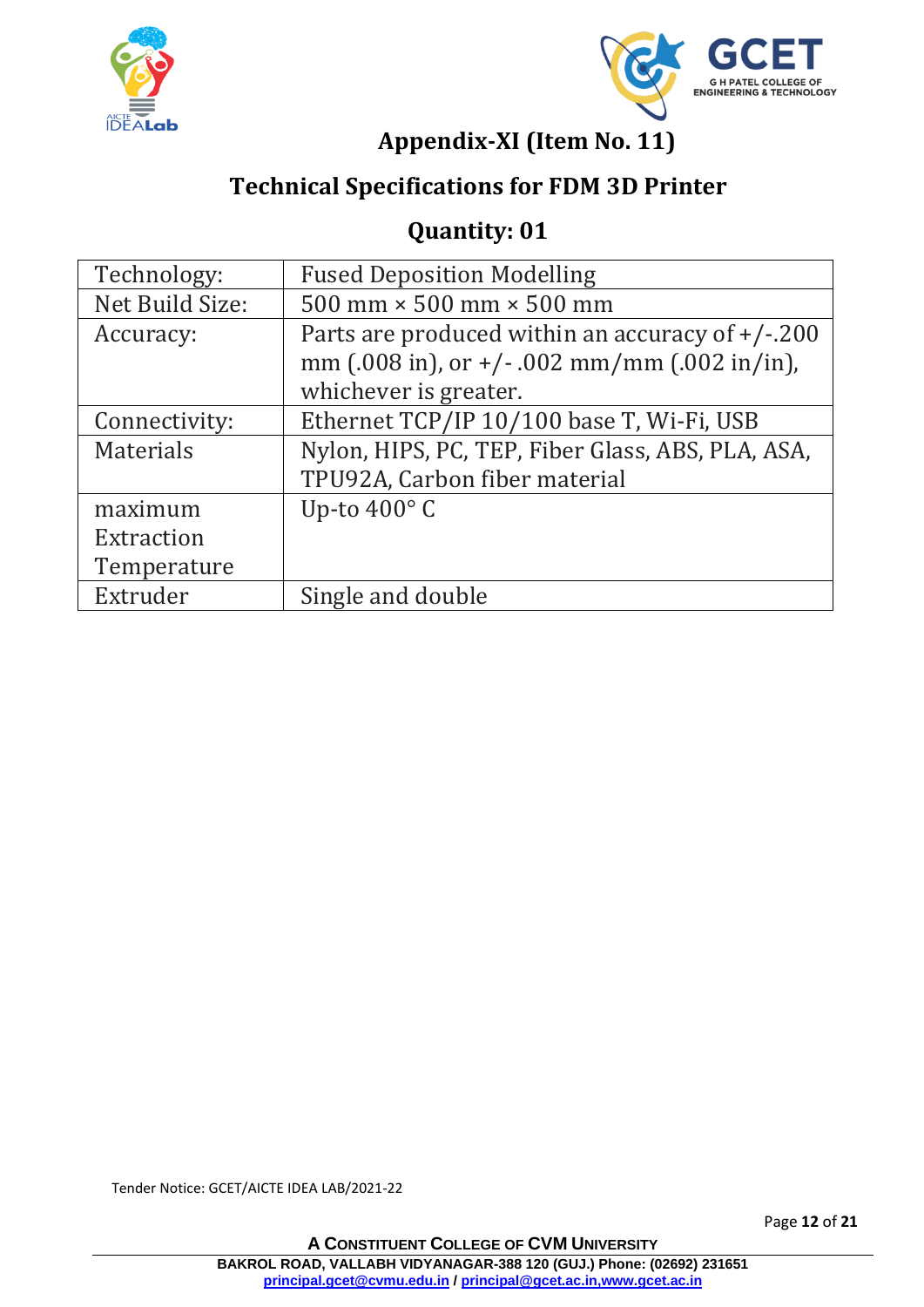



## **Appendix-XI (Item No. 11)**

## **Technical Specifications for FDM 3D Printer**

#### **Quantity: 01**

| Technology:      | <b>Fused Deposition Modelling</b>                 |
|------------------|---------------------------------------------------|
| Net Build Size:  | 500 mm $\times$ 500 mm $\times$ 500 mm            |
| Accuracy:        | Parts are produced within an accuracy of $+/-200$ |
|                  | mm (.008 in), or $+/-$ .002 mm/mm (.002 in/in),   |
|                  | whichever is greater.                             |
| Connectivity:    | Ethernet TCP/IP 10/100 base T, Wi-Fi, USB         |
| <b>Materials</b> | Nylon, HIPS, PC, TEP, Fiber Glass, ABS, PLA, ASA, |
|                  | TPU92A, Carbon fiber material                     |
| maximum          | Up-to $400^\circ$ C                               |
| Extraction       |                                                   |
| Temperature      |                                                   |
| Extruder         | Single and double                                 |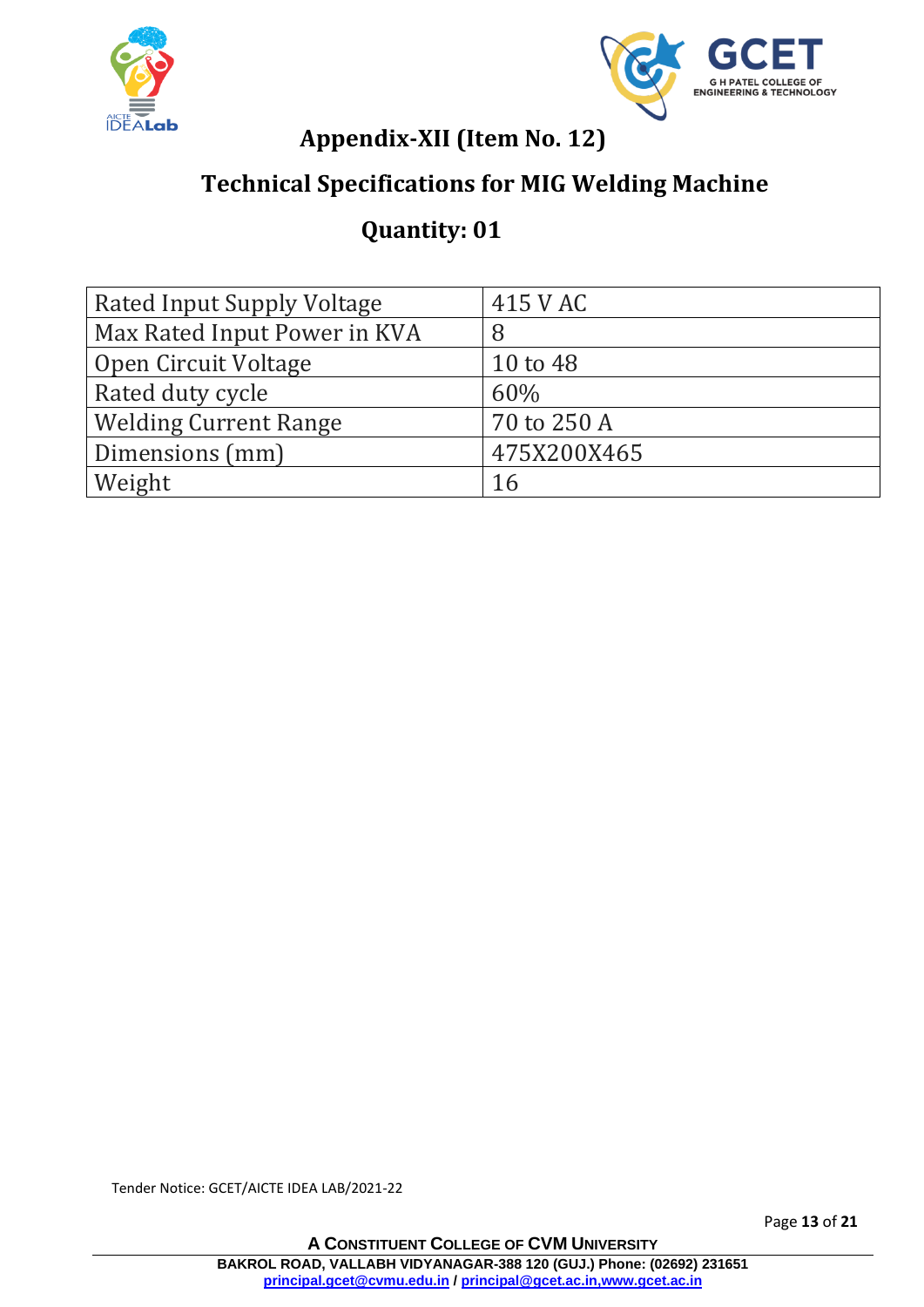



#### **Appendix-XII (Item No. 12)**

#### **Technical Specifications for MIG Welding Machine**

#### **Quantity: 01**

| Rated Input Supply Voltage   | 415 V AC     |
|------------------------------|--------------|
| Max Rated Input Power in KVA | 8            |
| Open Circuit Voltage         | $10$ to $48$ |
| Rated duty cycle             | 60%          |
| <b>Welding Current Range</b> | 70 to 250 A  |
| Dimensions (mm)              | 475X200X465  |
| Weight                       | 16           |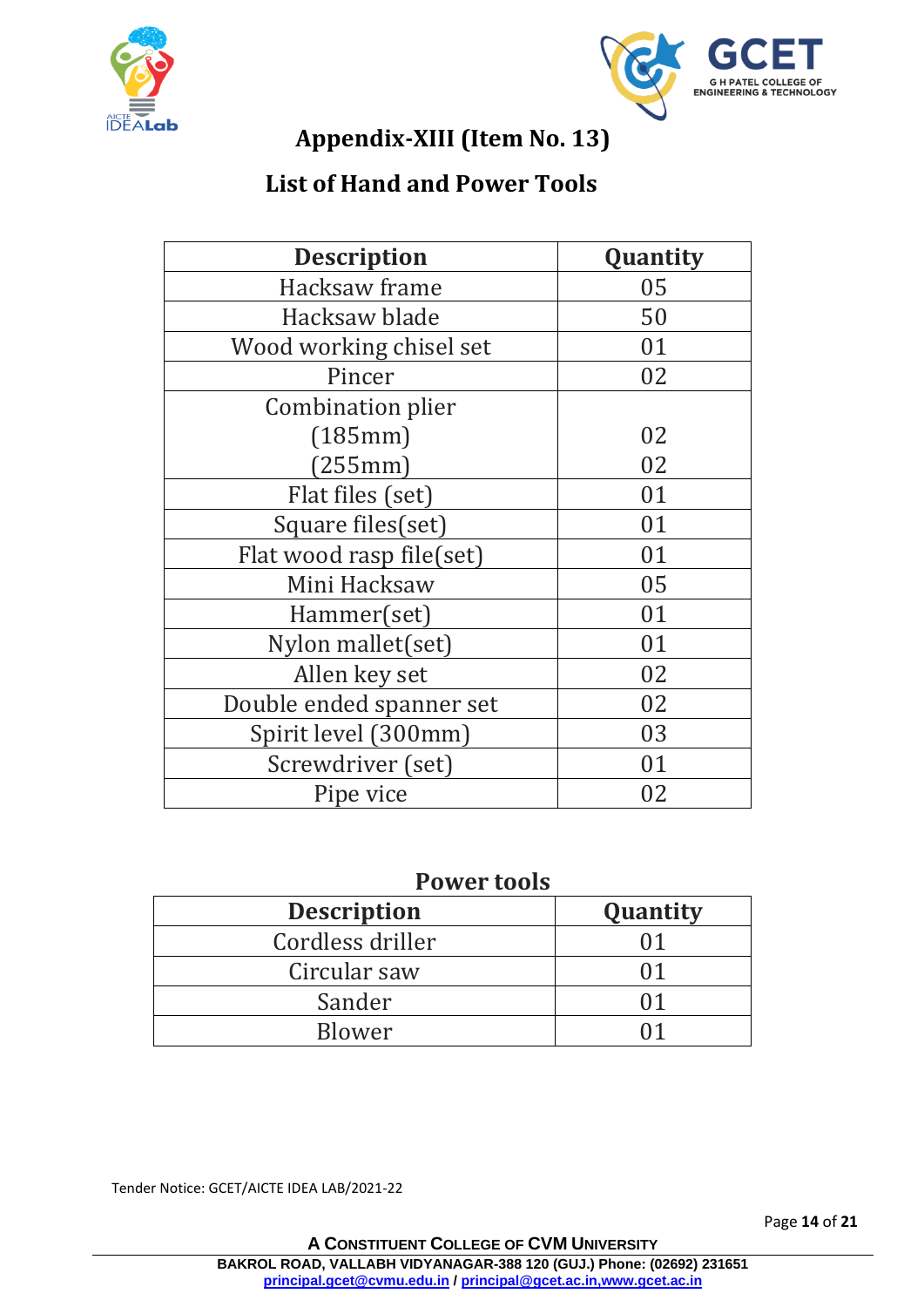



## **Appendix-XIII (Item No. 13)**

#### **List of Hand and Power Tools**

| <b>Description</b>       | Quantity |  |
|--------------------------|----------|--|
| Hacksaw frame            | 05       |  |
| Hacksaw blade            | 50       |  |
| Wood working chisel set  | 01       |  |
| Pincer                   | 02       |  |
| Combination plier        |          |  |
| (185mm)                  | 02       |  |
| (255mm)                  | 02       |  |
| Flat files (set)         | 01       |  |
| Square files(set)        | 01       |  |
| Flat wood rasp file(set) | 01       |  |
| Mini Hacksaw             | 05       |  |
| Hammer(set)              | 01       |  |
| Nylon mallet(set)        | 01       |  |
| Allen key set            | 02       |  |
| Double ended spanner set | 02       |  |
| Spirit level (300mm)     | 03       |  |
| Screwdriver (set)        | 01       |  |
| Pipe vice                | 02       |  |

#### **Power tools**

| <b>Description</b> | Quantity |
|--------------------|----------|
| Cordless driller   |          |
| Circular saw       | () 1     |
| Sander             | () 1     |
| Blower             |          |

Tender Notice: GCET/AICTE IDEA LAB/2021-22

Page **14** of **21**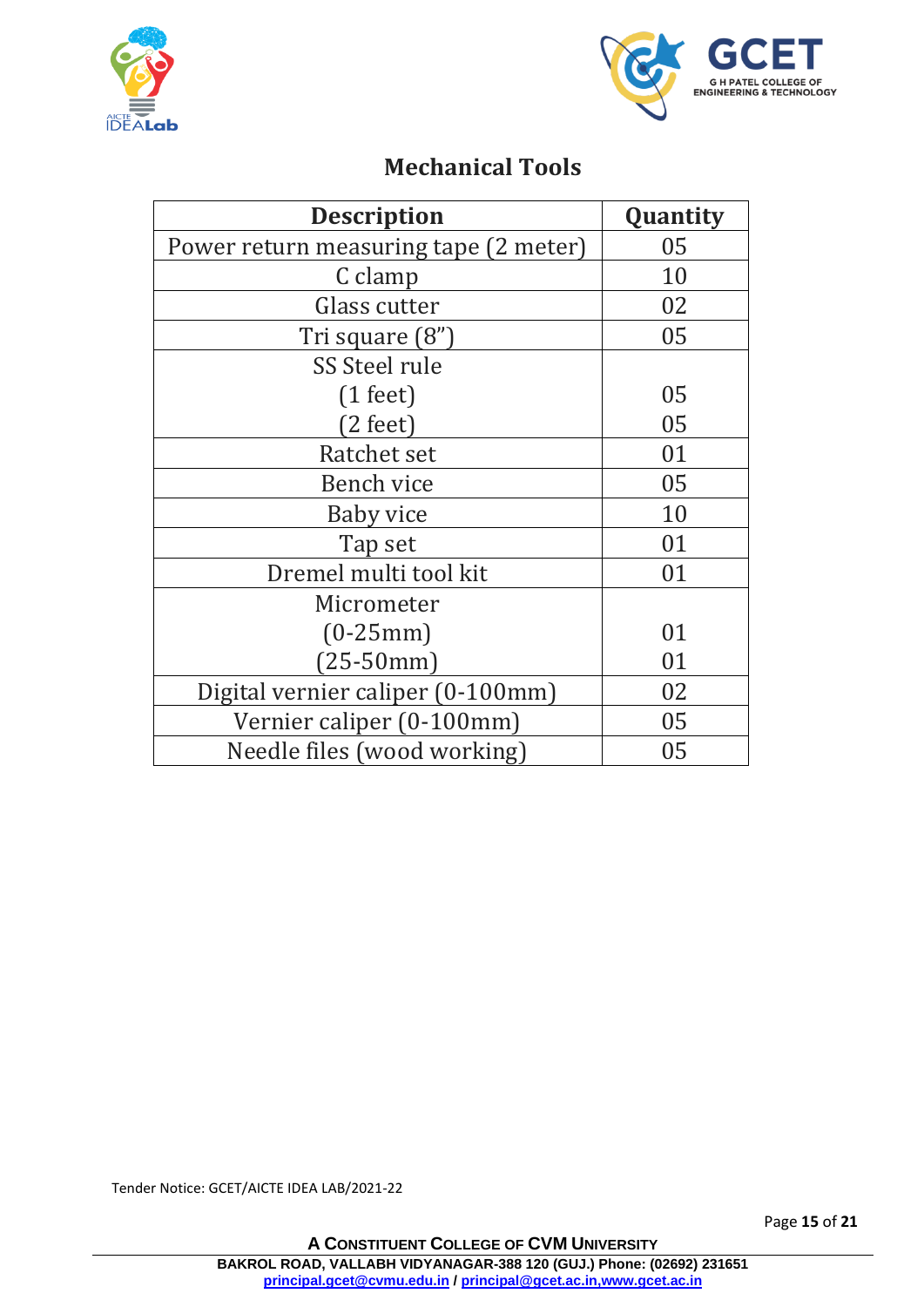



#### **Mechanical Tools**

| <b>Description</b>                    | Quantity |  |
|---------------------------------------|----------|--|
| Power return measuring tape (2 meter) | 05       |  |
| C clamp                               | 10       |  |
| Glass cutter                          | 02       |  |
| Tri square (8")                       | 05       |  |
| SS Steel rule                         |          |  |
| $(1 \text{ feet})$                    | 05       |  |
| $(2 \text{ feet})$                    | 05       |  |
| Ratchet set                           | 01       |  |
| Bench vice                            | 05       |  |
| Baby vice                             | 10       |  |
| Tap set                               | 01       |  |
| Dremel multi tool kit                 | 01       |  |
| Micrometer                            |          |  |
| $(0-25mm)$                            | 01       |  |
| $(25-50mm)$                           | 01       |  |
| Digital vernier caliper (0-100mm)     | 02       |  |
| Vernier caliper (0-100mm)             | 05       |  |
| Needle files (wood working)           | 05       |  |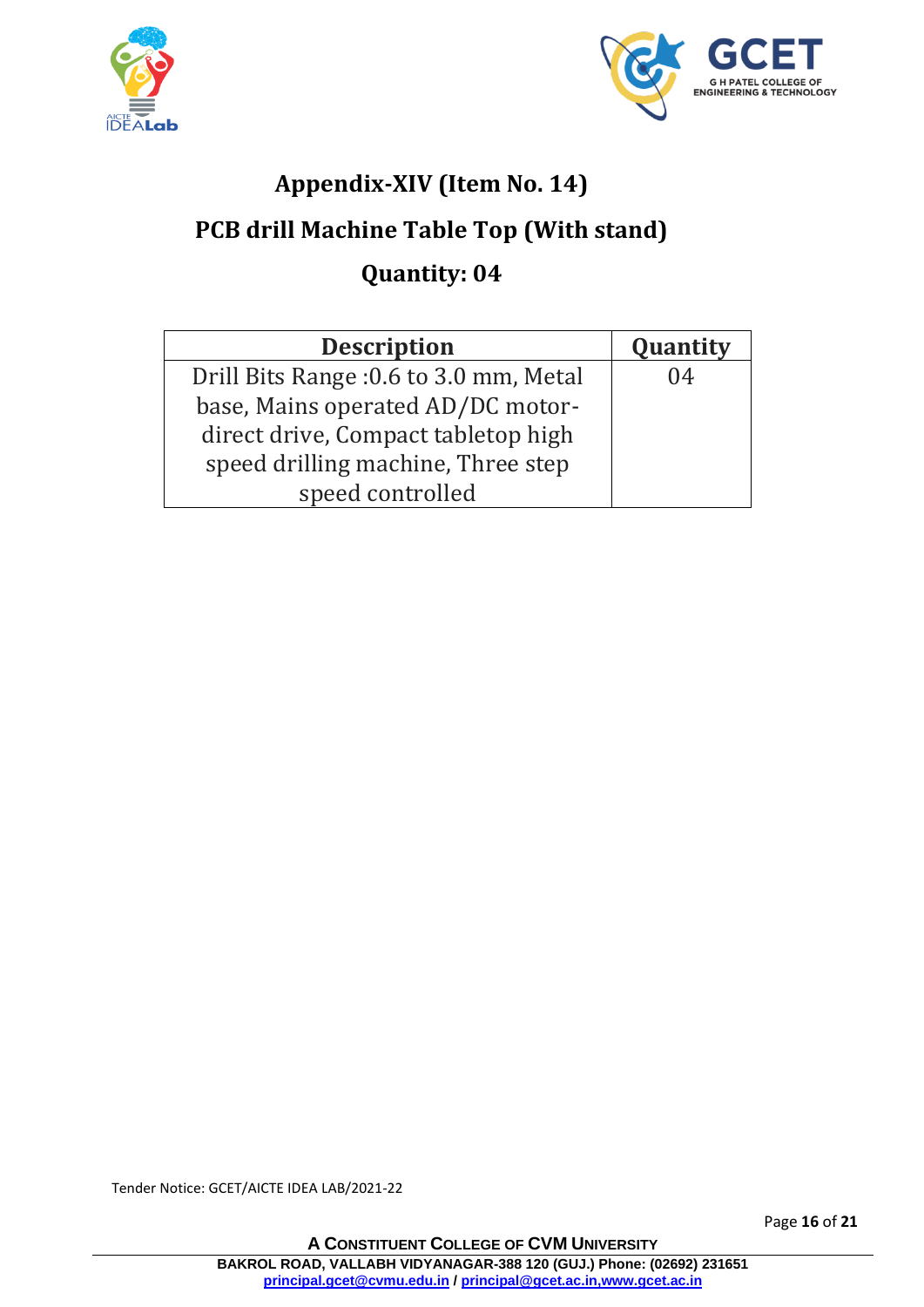



## **Appendix-XIV (Item No. 14)**

## **PCB drill Machine Table Top (With stand)**

## **Quantity: 04**

| <b>Description</b>                     | Quantity |
|----------------------------------------|----------|
| Drill Bits Range: 0.6 to 3.0 mm, Metal | 04       |
| base, Mains operated AD/DC motor-      |          |
| direct drive, Compact tabletop high    |          |
| speed drilling machine, Three step     |          |
| speed controlled                       |          |

Tender Notice: GCET/AICTE IDEA LAB/2021-22

Page **16** of **21**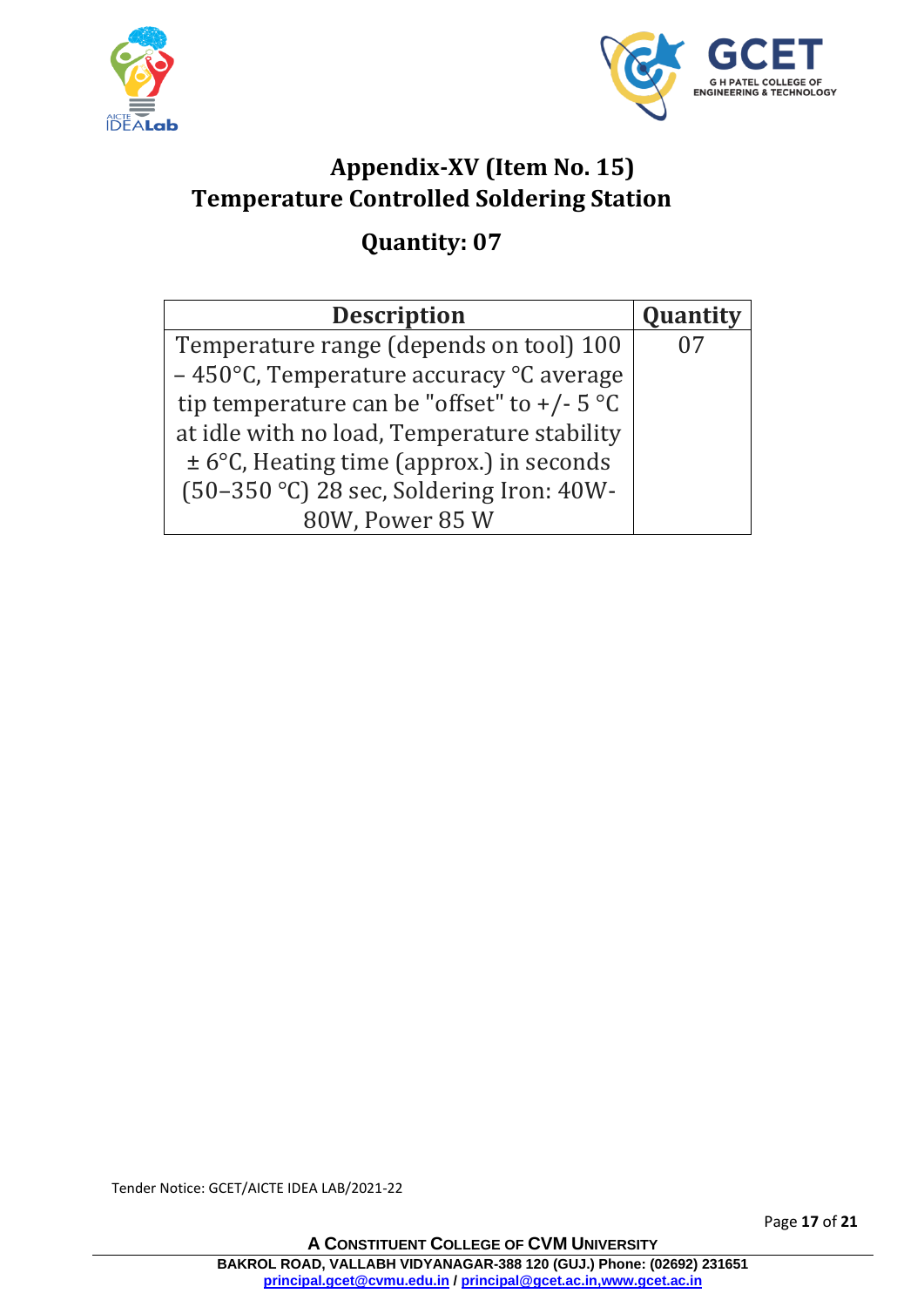



## **Appendix-XV (Item No. 15) Temperature Controlled Soldering Station**

## **Quantity: 07**

| <b>Description</b>                                          | Quantity |
|-------------------------------------------------------------|----------|
| Temperature range (depends on tool) 100                     |          |
| $-450^{\circ}$ C, Temperature accuracy $^{\circ}$ C average |          |
| tip temperature can be "offset" to $+/- 5$ °C               |          |
| at idle with no load, Temperature stability                 |          |
| $\pm$ 6°C, Heating time (approx.) in seconds                |          |
| (50-350 °C) 28 sec, Soldering Iron: 40W-                    |          |
| 80W, Power 85 W                                             |          |

Tender Notice: GCET/AICTE IDEA LAB/2021-22

Page **17** of **21**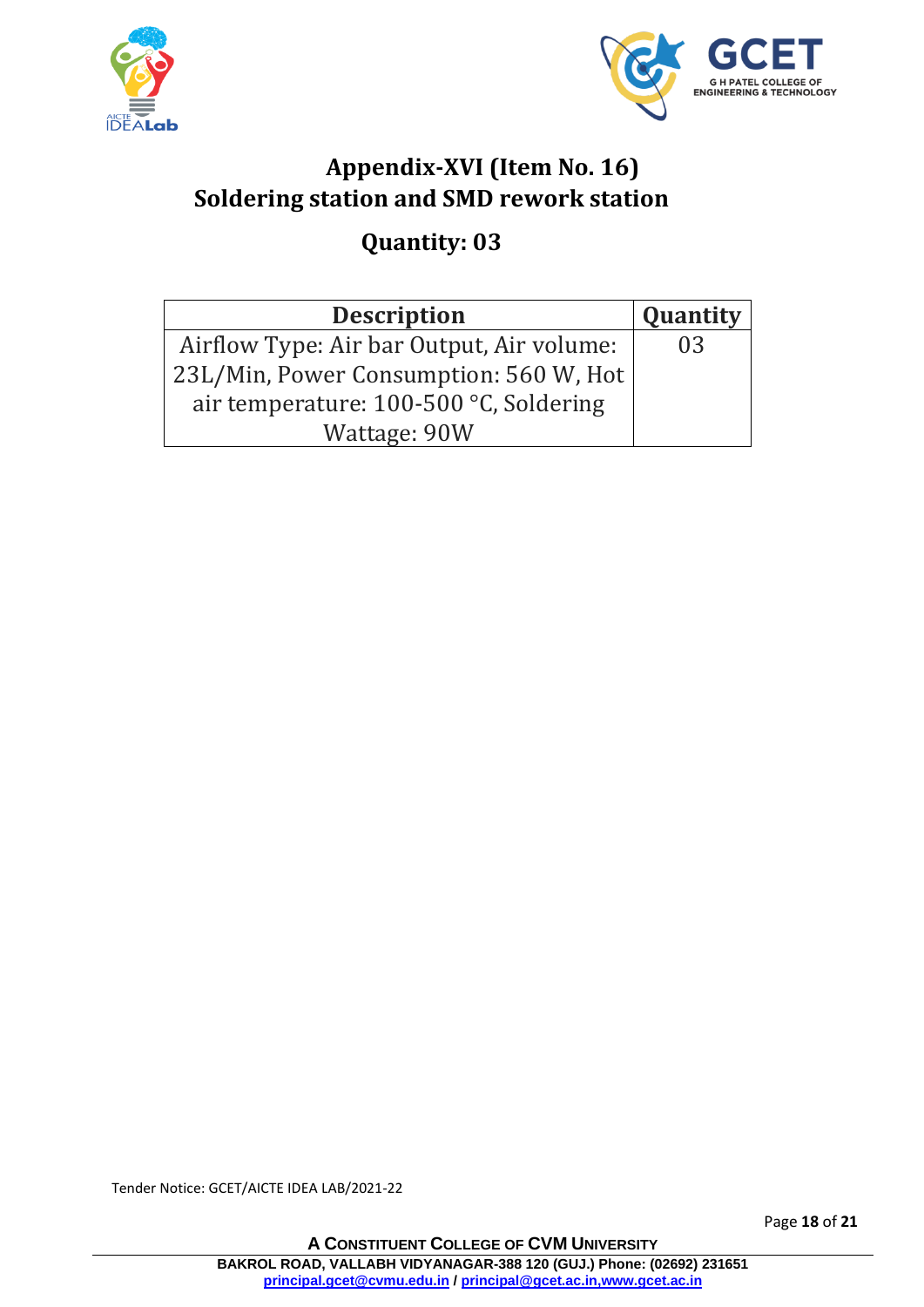



# **Appendix-XVI (Item No. 16) Soldering station and SMD rework station**

## **Quantity: 03**

| <b>Description</b>                        | Quantity |
|-------------------------------------------|----------|
| Airflow Type: Air bar Output, Air volume: | 03       |
| 23L/Min, Power Consumption: 560 W, Hot    |          |
| air temperature: 100-500 °C, Soldering    |          |
| Wattage: 90W                              |          |

Tender Notice: GCET/AICTE IDEA LAB/2021-22

Page **18** of **21**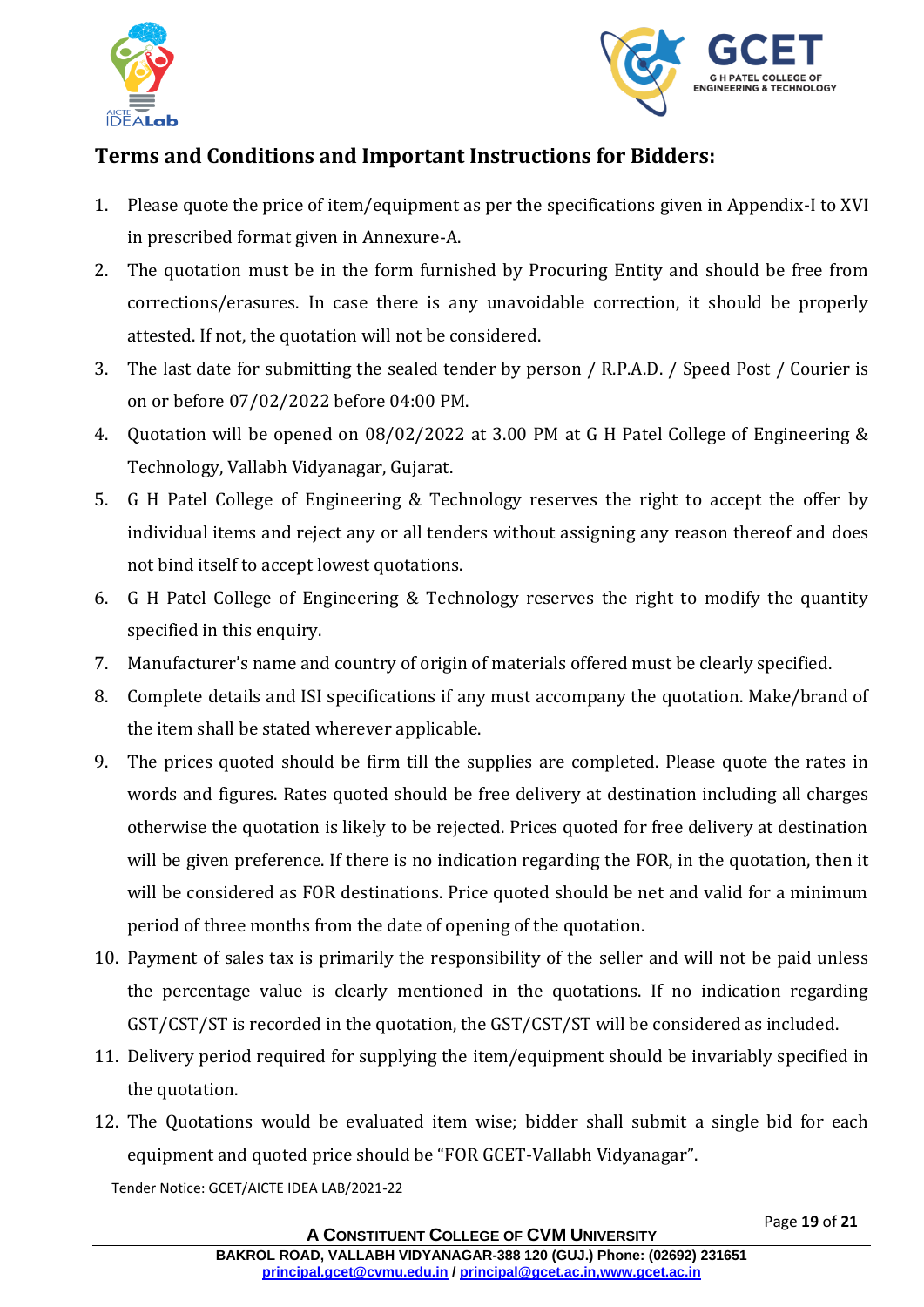



#### **Terms and Conditions and Important Instructions for Bidders:**

- 1. Please quote the price of item/equipment as per the specifications given in Appendix-I to XVI in prescribed format given in Annexure-A.
- 2. The quotation must be in the form furnished by Procuring Entity and should be free from corrections/erasures. In case there is any unavoidable correction, it should be properly attested. If not, the quotation will not be considered.
- 3. The last date for submitting the sealed tender by person / R.P.A.D. / Speed Post / Courier is on or before 07/02/2022 before 04:00 PM.
- 4. Quotation will be opened on 08/02/2022 at 3.00 PM at G H Patel College of Engineering & Technology, Vallabh Vidyanagar, Gujarat.
- 5. G H Patel College of Engineering & Technology reserves the right to accept the offer by individual items and reject any or all tenders without assigning any reason thereof and does not bind itself to accept lowest quotations.
- 6. G H Patel College of Engineering & Technology reserves the right to modify the quantity specified in this enquiry.
- 7. Manufacturer's name and country of origin of materials offered must be clearly specified.
- 8. Complete details and ISI specifications if any must accompany the quotation. Make/brand of the item shall be stated wherever applicable.
- 9. The prices quoted should be firm till the supplies are completed. Please quote the rates in words and figures. Rates quoted should be free delivery at destination including all charges otherwise the quotation is likely to be rejected. Prices quoted for free delivery at destination will be given preference. If there is no indication regarding the FOR, in the quotation, then it will be considered as FOR destinations. Price quoted should be net and valid for a minimum period of three months from the date of opening of the quotation.
- 10. Payment of sales tax is primarily the responsibility of the seller and will not be paid unless the percentage value is clearly mentioned in the quotations. If no indication regarding GST/CST/ST is recorded in the quotation, the GST/CST/ST will be considered as included.
- 11. Delivery period required for supplying the item/equipment should be invariably specified in the quotation.
- 12. The Quotations would be evaluated item wise; bidder shall submit a single bid for each equipment and quoted price should be "FOR GCET-Vallabh Vidyanagar".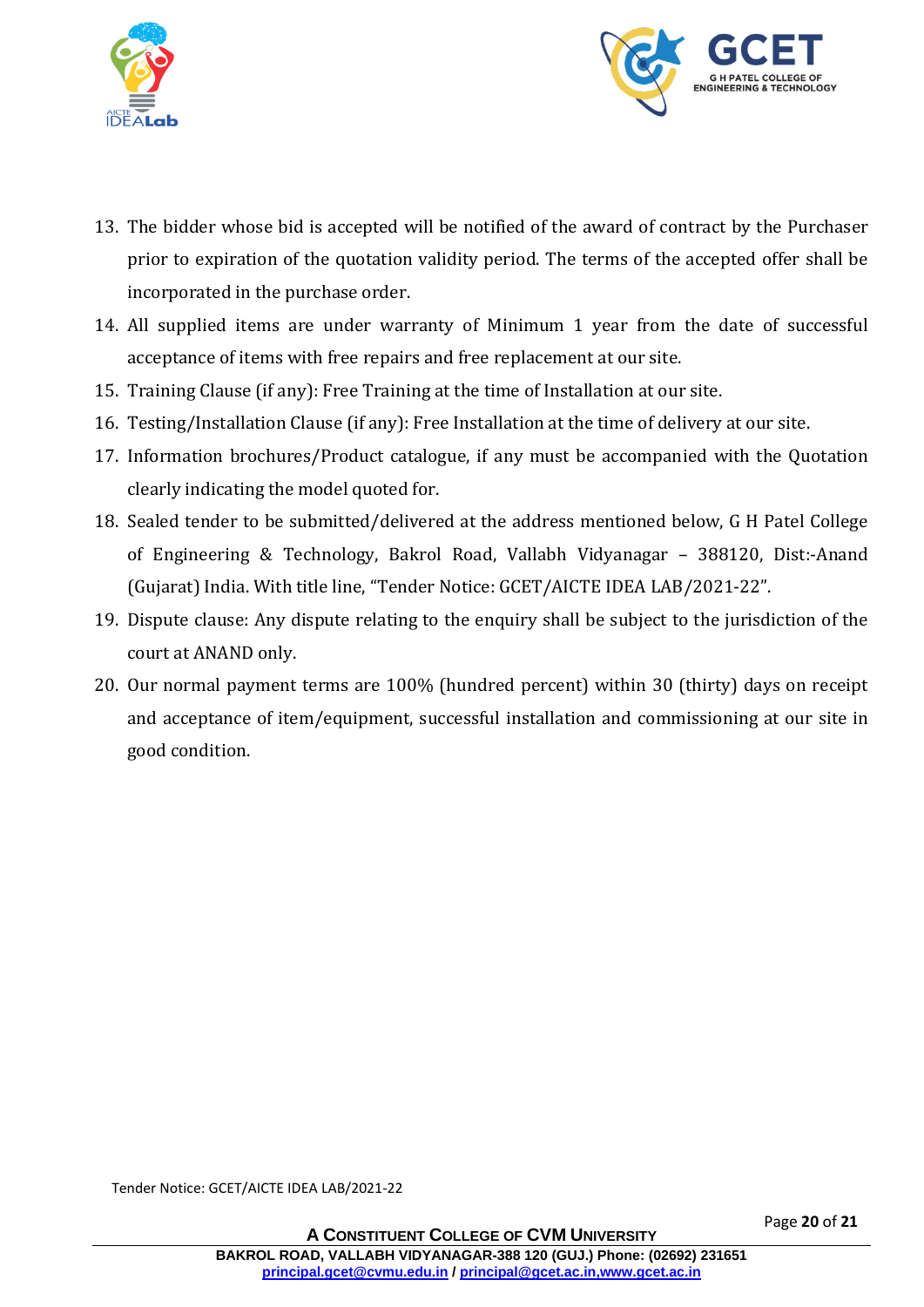



- 13. The bidder whose bid is accepted will be notified of the award of contract by the Purchaser prior to expiration of the quotation validity period. The terms of the accepted offer shall be incorporated in the purchase order.
- 14. All supplied items are under warranty of Minimum 1 year from the date of successful acceptance of items with free repairs and free replacement at our site.
- 15. Training Clause (if any): Free Training at the time of Installation at our site.
- 16. Testing/Installation Clause (if any): Free Installation at the time of delivery at our site.
- 17. Information brochures/Product catalogue, if any must be accompanied with the Quotation clearly indicating the model quoted for.
- 18. Sealed tender to be submitted/delivered at the address mentioned below, G H Patel College of Engineering & Technology, Bakrol Road, Vallabh Vidyanagar – 388120, Dist:-Anand (Gujarat) India. With title line, "Tender Notice: GCET/AICTE IDEA LAB/2021-22".
- 19. Dispute clause: Any dispute relating to the enquiry shall be subject to the jurisdiction of the court at ANAND only.
- 20. Our normal payment terms are 100% (hundred percent) within 30 (thirty) days on receipt and acceptance of item/equipment, successful installation and commissioning at our site in good condition.

Tender Notice: GCET/AICTE IDEA LAB/2021-22

Page **20** of **21**